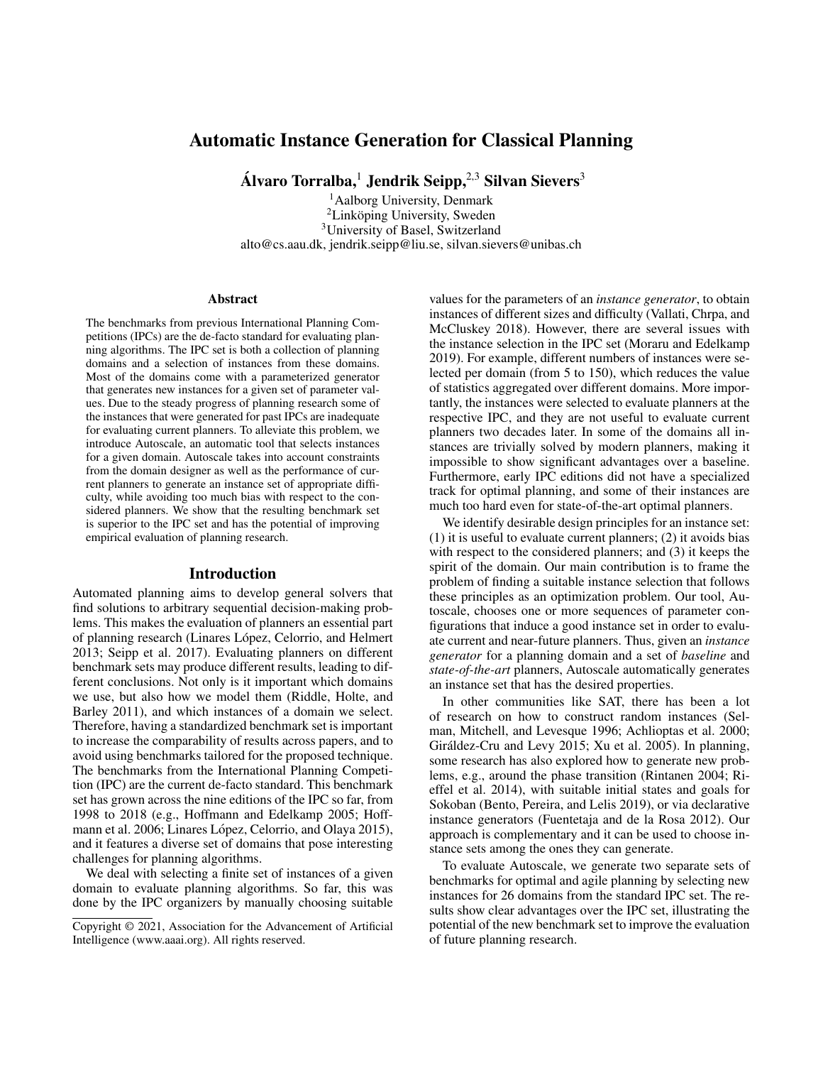# Automatic Instance Generation for Classical Planning

Álvaro Torralba,<sup>1</sup> Jendrik Seipp,<sup>2,3</sup> Silvan Sievers<sup>3</sup>

<sup>1</sup>Aalborg University, Denmark <sup>2</sup>Linköping University, Sweden <sup>3</sup>University of Basel, Switzerland alto@cs.aau.dk, jendrik.seipp@liu.se, silvan.sievers@unibas.ch

#### Abstract

The benchmarks from previous International Planning Competitions (IPCs) are the de-facto standard for evaluating planning algorithms. The IPC set is both a collection of planning domains and a selection of instances from these domains. Most of the domains come with a parameterized generator that generates new instances for a given set of parameter values. Due to the steady progress of planning research some of the instances that were generated for past IPCs are inadequate for evaluating current planners. To alleviate this problem, we introduce Autoscale, an automatic tool that selects instances for a given domain. Autoscale takes into account constraints from the domain designer as well as the performance of current planners to generate an instance set of appropriate difficulty, while avoiding too much bias with respect to the considered planners. We show that the resulting benchmark set is superior to the IPC set and has the potential of improving empirical evaluation of planning research.

#### Introduction

Automated planning aims to develop general solvers that find solutions to arbitrary sequential decision-making problems. This makes the evaluation of planners an essential part of planning research (Linares López, Celorrio, and Helmert 2013; Seipp et al. 2017). Evaluating planners on different benchmark sets may produce different results, leading to different conclusions. Not only is it important which domains we use, but also how we model them (Riddle, Holte, and Barley 2011), and which instances of a domain we select. Therefore, having a standardized benchmark set is important to increase the comparability of results across papers, and to avoid using benchmarks tailored for the proposed technique. The benchmarks from the International Planning Competition (IPC) are the current de-facto standard. This benchmark set has grown across the nine editions of the IPC so far, from 1998 to 2018 (e.g., Hoffmann and Edelkamp 2005; Hoffmann et al. 2006; Linares López, Celorrio, and Olaya 2015), and it features a diverse set of domains that pose interesting challenges for planning algorithms.

We deal with selecting a finite set of instances of a given domain to evaluate planning algorithms. So far, this was done by the IPC organizers by manually choosing suitable values for the parameters of an *instance generator*, to obtain instances of different sizes and difficulty (Vallati, Chrpa, and McCluskey 2018). However, there are several issues with the instance selection in the IPC set (Moraru and Edelkamp 2019). For example, different numbers of instances were selected per domain (from 5 to 150), which reduces the value of statistics aggregated over different domains. More importantly, the instances were selected to evaluate planners at the respective IPC, and they are not useful to evaluate current planners two decades later. In some of the domains all instances are trivially solved by modern planners, making it impossible to show significant advantages over a baseline. Furthermore, early IPC editions did not have a specialized track for optimal planning, and some of their instances are much too hard even for state-of-the-art optimal planners.

We identify desirable design principles for an instance set: (1) it is useful to evaluate current planners; (2) it avoids bias with respect to the considered planners; and (3) it keeps the spirit of the domain. Our main contribution is to frame the problem of finding a suitable instance selection that follows these principles as an optimization problem. Our tool, Autoscale, chooses one or more sequences of parameter configurations that induce a good instance set in order to evaluate current and near-future planners. Thus, given an *instance generator* for a planning domain and a set of *baseline* and *state-of-the-art* planners, Autoscale automatically generates an instance set that has the desired properties.

In other communities like SAT, there has been a lot of research on how to construct random instances (Selman, Mitchell, and Levesque 1996; Achlioptas et al. 2000; Giráldez-Cru and Levy 2015; Xu et al. 2005). In planning, some research has also explored how to generate new problems, e.g., around the phase transition (Rintanen 2004; Rieffel et al. 2014), with suitable initial states and goals for Sokoban (Bento, Pereira, and Lelis 2019), or via declarative instance generators (Fuentetaja and de la Rosa 2012). Our approach is complementary and it can be used to choose instance sets among the ones they can generate.

To evaluate Autoscale, we generate two separate sets of benchmarks for optimal and agile planning by selecting new instances for 26 domains from the standard IPC set. The results show clear advantages over the IPC set, illustrating the potential of the new benchmark set to improve the evaluation of future planning research.

Copyright © 2021, Association for the Advancement of Artificial Intelligence (www.aaai.org). All rights reserved.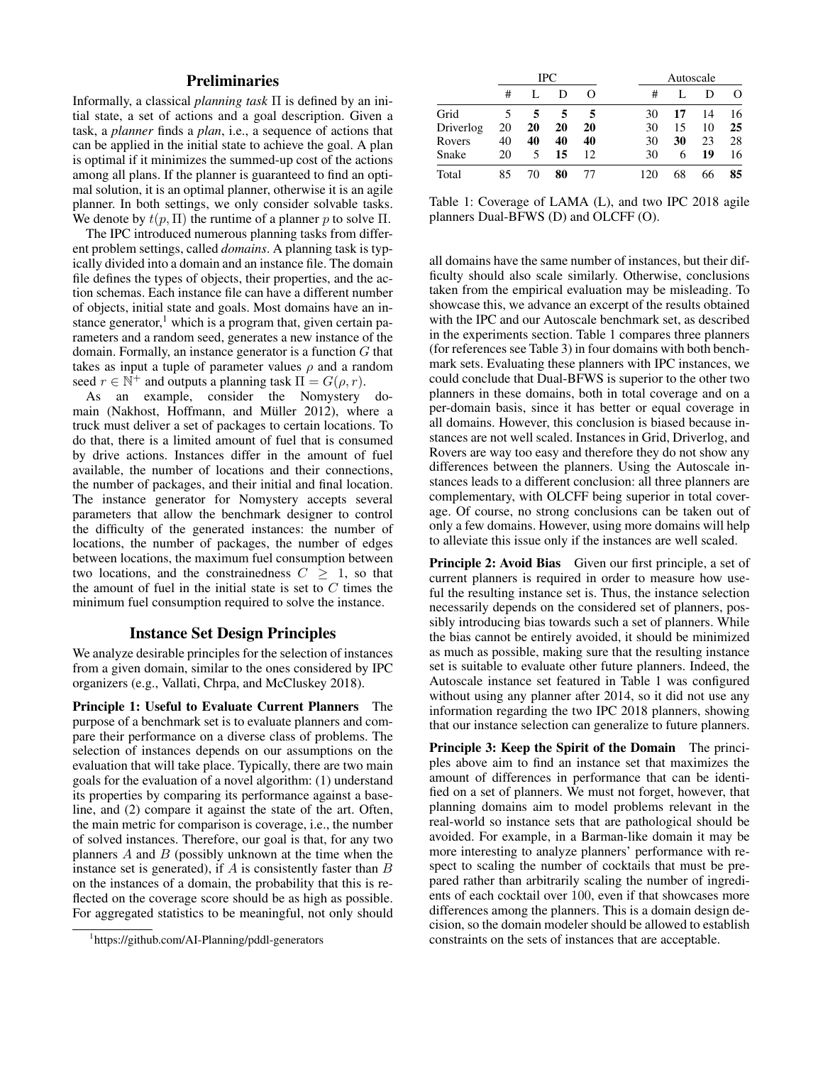# **Preliminaries**

Informally, a classical *planning task* Π is defined by an initial state, a set of actions and a goal description. Given a task, a *planner* finds a *plan*, i.e., a sequence of actions that can be applied in the initial state to achieve the goal. A plan is optimal if it minimizes the summed-up cost of the actions among all plans. If the planner is guaranteed to find an optimal solution, it is an optimal planner, otherwise it is an agile planner. In both settings, we only consider solvable tasks. We denote by  $t(p, \Pi)$  the runtime of a planner p to solve  $\Pi$ .

The IPC introduced numerous planning tasks from different problem settings, called *domains*. A planning task is typically divided into a domain and an instance file. The domain file defines the types of objects, their properties, and the action schemas. Each instance file can have a different number of objects, initial state and goals. Most domains have an instance generator, $<sup>1</sup>$  which is a program that, given certain pa-</sup> rameters and a random seed, generates a new instance of the domain. Formally, an instance generator is a function  $G$  that takes as input a tuple of parameter values  $\rho$  and a random seed  $r \in \mathbb{N}^+$  and outputs a planning task  $\Pi = G(\rho, r)$ .

As an example, consider the Nomystery domain (Nakhost, Hoffmann, and Müller 2012), where a truck must deliver a set of packages to certain locations. To do that, there is a limited amount of fuel that is consumed by drive actions. Instances differ in the amount of fuel available, the number of locations and their connections, the number of packages, and their initial and final location. The instance generator for Nomystery accepts several parameters that allow the benchmark designer to control the difficulty of the generated instances: the number of locations, the number of packages, the number of edges between locations, the maximum fuel consumption between two locations, and the constrainedness  $C \geq 1$ , so that the amount of fuel in the initial state is set to  $C$  times the minimum fuel consumption required to solve the instance.

## Instance Set Design Principles

We analyze desirable principles for the selection of instances from a given domain, similar to the ones considered by IPC organizers (e.g., Vallati, Chrpa, and McCluskey 2018).

Principle 1: Useful to Evaluate Current Planners The purpose of a benchmark set is to evaluate planners and compare their performance on a diverse class of problems. The selection of instances depends on our assumptions on the evaluation that will take place. Typically, there are two main goals for the evaluation of a novel algorithm: (1) understand its properties by comparing its performance against a baseline, and (2) compare it against the state of the art. Often, the main metric for comparison is coverage, i.e., the number of solved instances. Therefore, our goal is that, for any two planners  $A$  and  $B$  (possibly unknown at the time when the instance set is generated), if  $A$  is consistently faster than  $B$ on the instances of a domain, the probability that this is reflected on the coverage score should be as high as possible. For aggregated statistics to be meaningful, not only should

|           |    |    | <b>IPC</b> |          | Autoscale |    |    |          |  |  |  |
|-----------|----|----|------------|----------|-----------|----|----|----------|--|--|--|
|           | #  |    | Ð          | $\Omega$ | #         |    | D  | $\Omega$ |  |  |  |
| Grid      | 5  | 5  | 5          | 5        | 30        | 17 | 14 | 16       |  |  |  |
| Driverlog | 20 | 20 | 20         | 20       | 30        | 15 | 10 | 25       |  |  |  |
| Rovers    | 40 | 40 | 40         | 40       | 30        | 30 | 23 | 28       |  |  |  |
| Snake     | 20 | 5  | 15         | 12       | 30        | 6  | 19 | 16       |  |  |  |
| Total     | 85 | 70 | 80         | 77       |           | 68 | 66 | 85       |  |  |  |

Table 1: Coverage of LAMA (L), and two IPC 2018 agile planners Dual-BFWS (D) and OLCFF (O).

all domains have the same number of instances, but their difficulty should also scale similarly. Otherwise, conclusions taken from the empirical evaluation may be misleading. To showcase this, we advance an excerpt of the results obtained with the IPC and our Autoscale benchmark set, as described in the experiments section. Table 1 compares three planners (for references see Table 3) in four domains with both benchmark sets. Evaluating these planners with IPC instances, we could conclude that Dual-BFWS is superior to the other two planners in these domains, both in total coverage and on a per-domain basis, since it has better or equal coverage in all domains. However, this conclusion is biased because instances are not well scaled. Instances in Grid, Driverlog, and Rovers are way too easy and therefore they do not show any differences between the planners. Using the Autoscale instances leads to a different conclusion: all three planners are complementary, with OLCFF being superior in total coverage. Of course, no strong conclusions can be taken out of only a few domains. However, using more domains will help to alleviate this issue only if the instances are well scaled.

Principle 2: Avoid Bias Given our first principle, a set of current planners is required in order to measure how useful the resulting instance set is. Thus, the instance selection necessarily depends on the considered set of planners, possibly introducing bias towards such a set of planners. While the bias cannot be entirely avoided, it should be minimized as much as possible, making sure that the resulting instance set is suitable to evaluate other future planners. Indeed, the Autoscale instance set featured in Table 1 was configured without using any planner after 2014, so it did not use any information regarding the two IPC 2018 planners, showing that our instance selection can generalize to future planners.

Principle 3: Keep the Spirit of the Domain The principles above aim to find an instance set that maximizes the amount of differences in performance that can be identified on a set of planners. We must not forget, however, that planning domains aim to model problems relevant in the real-world so instance sets that are pathological should be avoided. For example, in a Barman-like domain it may be more interesting to analyze planners' performance with respect to scaling the number of cocktails that must be prepared rather than arbitrarily scaling the number of ingredients of each cocktail over 100, even if that showcases more differences among the planners. This is a domain design decision, so the domain modeler should be allowed to establish constraints on the sets of instances that are acceptable.

<sup>1</sup> https://github.com/AI-Planning/pddl-generators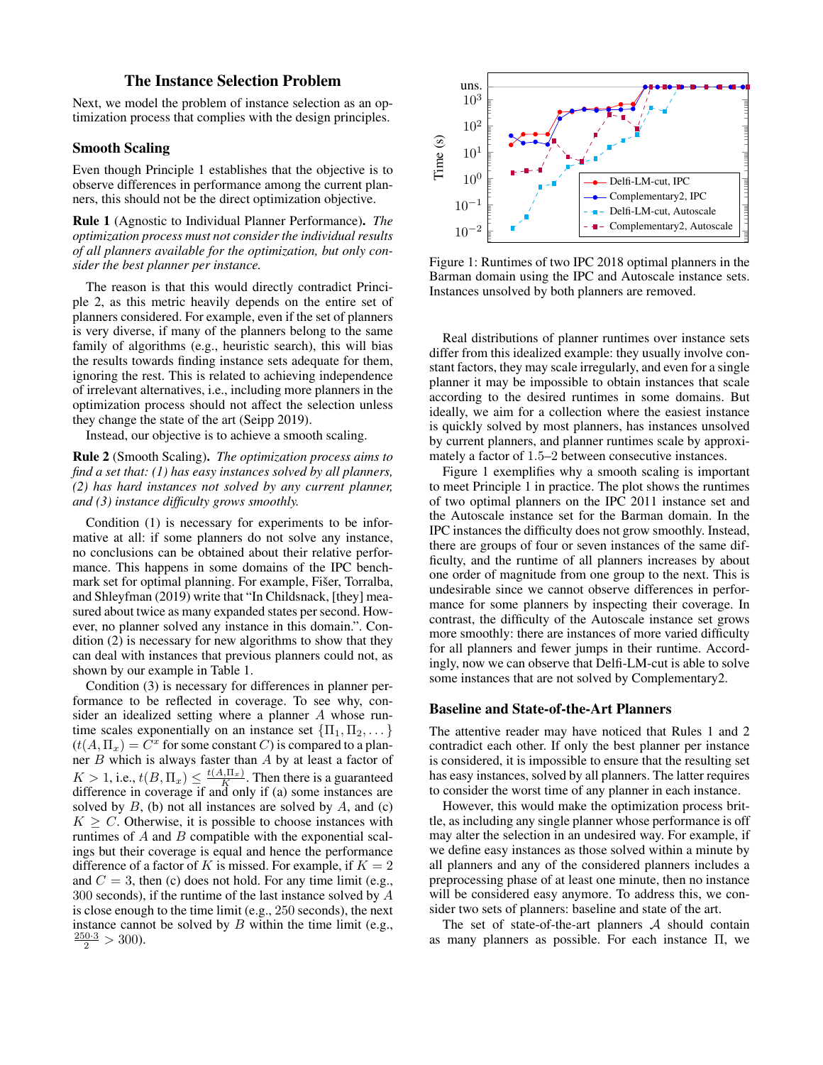# The Instance Selection Problem

Next, we model the problem of instance selection as an optimization process that complies with the design principles.

### Smooth Scaling

Even though Principle 1 establishes that the objective is to observe differences in performance among the current planners, this should not be the direct optimization objective.

Rule 1 (Agnostic to Individual Planner Performance). *The optimization process must not consider the individual results of all planners available for the optimization, but only consider the best planner per instance.*

The reason is that this would directly contradict Principle 2, as this metric heavily depends on the entire set of planners considered. For example, even if the set of planners is very diverse, if many of the planners belong to the same family of algorithms (e.g., heuristic search), this will bias the results towards finding instance sets adequate for them, ignoring the rest. This is related to achieving independence of irrelevant alternatives, i.e., including more planners in the optimization process should not affect the selection unless they change the state of the art (Seipp 2019).

Instead, our objective is to achieve a smooth scaling.

Rule 2 (Smooth Scaling). *The optimization process aims to find a set that: (1) has easy instances solved by all planners, (2) has hard instances not solved by any current planner, and (3) instance difficulty grows smoothly.*

Condition (1) is necessary for experiments to be informative at all: if some planners do not solve any instance, no conclusions can be obtained about their relative performance. This happens in some domains of the IPC benchmark set for optimal planning. For example, Fišer, Torralba, and Shleyfman (2019) write that "In Childsnack, [they] measured about twice as many expanded states per second. However, no planner solved any instance in this domain.". Condition (2) is necessary for new algorithms to show that they can deal with instances that previous planners could not, as shown by our example in Table 1.

Condition (3) is necessary for differences in planner performance to be reflected in coverage. To see why, consider an idealized setting where a planner A whose runtime scales exponentially on an instance set  $\{\Pi_1, \Pi_2, \dots\}$  $(t(A, \Pi_x)) = \tilde{C}^x$  for some constant C) is compared to a planner  $B$  which is always faster than  $A$  by at least a factor of  $K > 1$ , i.e.,  $t(B, \Pi_x) \leq \frac{t(A, \Pi_x)}{K}$ . Then there is a guaranteed difference in coverage if and only if (a) some instances are solved by  $B$ , (b) not all instances are solved by  $A$ , and (c)  $K \geq C$ . Otherwise, it is possible to choose instances with runtimes of  $A$  and  $B$  compatible with the exponential scalings but their coverage is equal and hence the performance difference of a factor of K is missed. For example, if  $K = 2$ and  $C = 3$ , then (c) does not hold. For any time limit (e.g., 300 seconds), if the runtime of the last instance solved by A is close enough to the time limit (e.g., 250 seconds), the next instance cannot be solved by  $B$  within the time limit (e.g.,  $\frac{250 \cdot 3}{2} > 300$ ).



Figure 1: Runtimes of two IPC 2018 optimal planners in the Barman domain using the IPC and Autoscale instance sets. Instances unsolved by both planners are removed.

Real distributions of planner runtimes over instance sets differ from this idealized example: they usually involve constant factors, they may scale irregularly, and even for a single planner it may be impossible to obtain instances that scale according to the desired runtimes in some domains. But ideally, we aim for a collection where the easiest instance is quickly solved by most planners, has instances unsolved by current planners, and planner runtimes scale by approximately a factor of 1.5–2 between consecutive instances.

Figure 1 exemplifies why a smooth scaling is important to meet Principle 1 in practice. The plot shows the runtimes of two optimal planners on the IPC 2011 instance set and the Autoscale instance set for the Barman domain. In the IPC instances the difficulty does not grow smoothly. Instead, there are groups of four or seven instances of the same difficulty, and the runtime of all planners increases by about one order of magnitude from one group to the next. This is undesirable since we cannot observe differences in performance for some planners by inspecting their coverage. In contrast, the difficulty of the Autoscale instance set grows more smoothly: there are instances of more varied difficulty for all planners and fewer jumps in their runtime. Accordingly, now we can observe that Delfi-LM-cut is able to solve some instances that are not solved by Complementary2.

#### Baseline and State-of-the-Art Planners

The attentive reader may have noticed that Rules 1 and 2 contradict each other. If only the best planner per instance is considered, it is impossible to ensure that the resulting set has easy instances, solved by all planners. The latter requires to consider the worst time of any planner in each instance.

However, this would make the optimization process brittle, as including any single planner whose performance is off may alter the selection in an undesired way. For example, if we define easy instances as those solved within a minute by all planners and any of the considered planners includes a preprocessing phase of at least one minute, then no instance will be considered easy anymore. To address this, we consider two sets of planners: baseline and state of the art.

The set of state-of-the-art planners  $A$  should contain as many planners as possible. For each instance Π, we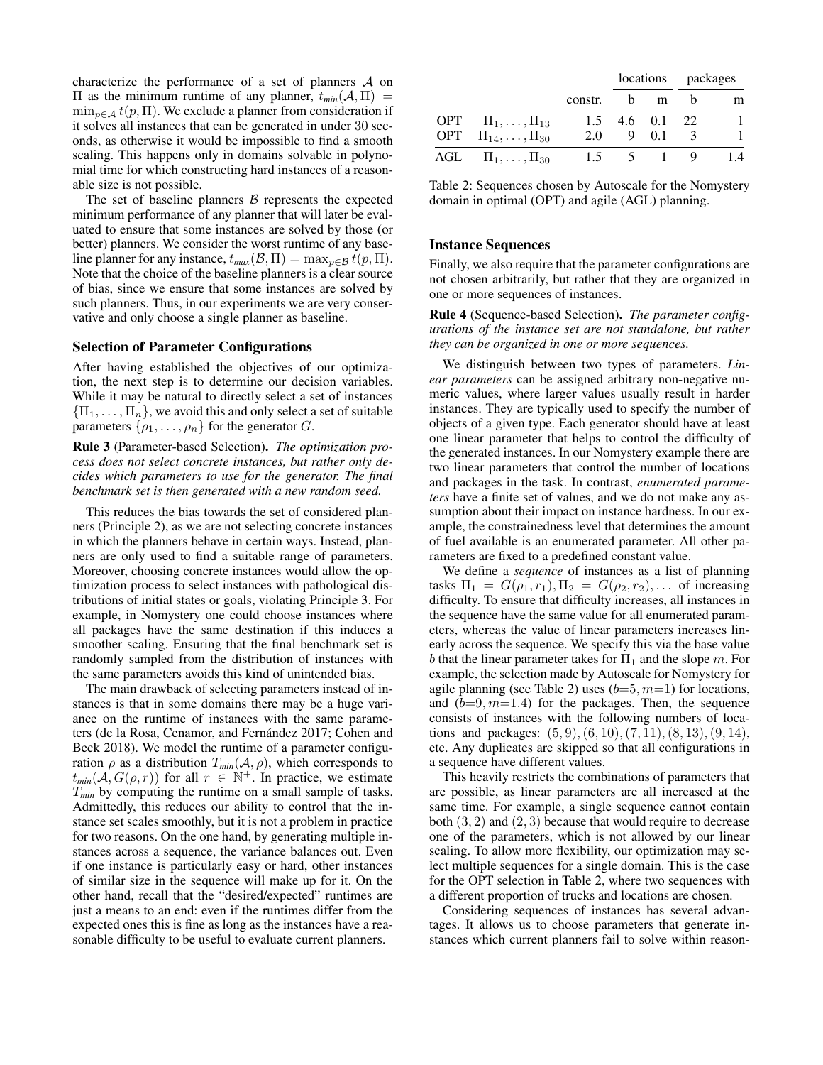characterize the performance of a set of planners A on  $\Pi$  as the minimum runtime of any planner,  $t_{min}(A, \Pi)$  =  $\min_{p \in \mathcal{A}} t(p, \Pi)$ . We exclude a planner from consideration if it solves all instances that can be generated in under 30 seconds, as otherwise it would be impossible to find a smooth scaling. This happens only in domains solvable in polynomial time for which constructing hard instances of a reasonable size is not possible.

The set of baseline planners  $\beta$  represents the expected minimum performance of any planner that will later be evaluated to ensure that some instances are solved by those (or better) planners. We consider the worst runtime of any baseline planner for any instance,  $t_{max}(\mathcal{B}, \Pi) = \max_{p \in \mathcal{B}} t(p, \Pi)$ . Note that the choice of the baseline planners is a clear source of bias, since we ensure that some instances are solved by such planners. Thus, in our experiments we are very conservative and only choose a single planner as baseline.

#### Selection of Parameter Configurations

After having established the objectives of our optimization, the next step is to determine our decision variables. While it may be natural to directly select a set of instances  ${\{\Pi_1, \ldots, \Pi_n\}}$ , we avoid this and only select a set of suitable parameters  $\{\rho_1, \ldots, \rho_n\}$  for the generator G.

Rule 3 (Parameter-based Selection). *The optimization process does not select concrete instances, but rather only decides which parameters to use for the generator. The final benchmark set is then generated with a new random seed.*

This reduces the bias towards the set of considered planners (Principle 2), as we are not selecting concrete instances in which the planners behave in certain ways. Instead, planners are only used to find a suitable range of parameters. Moreover, choosing concrete instances would allow the optimization process to select instances with pathological distributions of initial states or goals, violating Principle 3. For example, in Nomystery one could choose instances where all packages have the same destination if this induces a smoother scaling. Ensuring that the final benchmark set is randomly sampled from the distribution of instances with the same parameters avoids this kind of unintended bias.

The main drawback of selecting parameters instead of instances is that in some domains there may be a huge variance on the runtime of instances with the same parameters (de la Rosa, Cenamor, and Fernández 2017; Cohen and Beck 2018). We model the runtime of a parameter configuration  $\rho$  as a distribution  $T_{min}(\mathcal{A}, \rho)$ , which corresponds to  $t_{min}(\mathcal{A}, G(\rho, r))$  for all  $r \in \mathbb{N}^+$ . In practice, we estimate T*min* by computing the runtime on a small sample of tasks. Admittedly, this reduces our ability to control that the instance set scales smoothly, but it is not a problem in practice for two reasons. On the one hand, by generating multiple instances across a sequence, the variance balances out. Even if one instance is particularly easy or hard, other instances of similar size in the sequence will make up for it. On the other hand, recall that the "desired/expected" runtimes are just a means to an end: even if the runtimes differ from the expected ones this is fine as long as the instances have a reasonable difficulty to be useful to evaluate current planners.

|                                  |         |                         |       | locations packages |     |  |  |
|----------------------------------|---------|-------------------------|-------|--------------------|-----|--|--|
|                                  | constr. | h.                      | m     |                    | m   |  |  |
| OPT $\Pi_1, \ldots, \Pi_{13}$    |         | $1.5$ 4.6 0.1 22        |       |                    |     |  |  |
| OPT $\Pi_{14}, \ldots, \Pi_{30}$ | 2.0     |                         | 9 0.1 | 3                  |     |  |  |
| AGL $II_1, \ldots, II_{30}$      |         | $1.5 \qquad 5 \qquad 1$ |       |                    | 1.4 |  |  |

Table 2: Sequences chosen by Autoscale for the Nomystery domain in optimal (OPT) and agile (AGL) planning.

#### Instance Sequences

Finally, we also require that the parameter configurations are not chosen arbitrarily, but rather that they are organized in one or more sequences of instances.

Rule 4 (Sequence-based Selection). *The parameter configurations of the instance set are not standalone, but rather they can be organized in one or more sequences.*

We distinguish between two types of parameters. *Linear parameters* can be assigned arbitrary non-negative numeric values, where larger values usually result in harder instances. They are typically used to specify the number of objects of a given type. Each generator should have at least one linear parameter that helps to control the difficulty of the generated instances. In our Nomystery example there are two linear parameters that control the number of locations and packages in the task. In contrast, *enumerated parameters* have a finite set of values, and we do not make any assumption about their impact on instance hardness. In our example, the constrainedness level that determines the amount of fuel available is an enumerated parameter. All other parameters are fixed to a predefined constant value.

We define a *sequence* of instances as a list of planning tasks  $\Pi_1 = G(\rho_1, r_1), \Pi_2 = G(\rho_2, r_2), \ldots$  of increasing difficulty. To ensure that difficulty increases, all instances in the sequence have the same value for all enumerated parameters, whereas the value of linear parameters increases linearly across the sequence. We specify this via the base value b that the linear parameter takes for  $\Pi_1$  and the slope m. For example, the selection made by Autoscale for Nomystery for agile planning (see Table 2) uses  $(b=5, m=1)$  for locations, and  $(b=9, m=1.4)$  for the packages. Then, the sequence consists of instances with the following numbers of locations and packages:  $(5, 9)$ ,  $(6, 10)$ ,  $(7, 11)$ ,  $(8, 13)$ ,  $(9, 14)$ , etc. Any duplicates are skipped so that all configurations in a sequence have different values.

This heavily restricts the combinations of parameters that are possible, as linear parameters are all increased at the same time. For example, a single sequence cannot contain both  $(3, 2)$  and  $(2, 3)$  because that would require to decrease one of the parameters, which is not allowed by our linear scaling. To allow more flexibility, our optimization may select multiple sequences for a single domain. This is the case for the OPT selection in Table 2, where two sequences with a different proportion of trucks and locations are chosen.

Considering sequences of instances has several advantages. It allows us to choose parameters that generate instances which current planners fail to solve within reason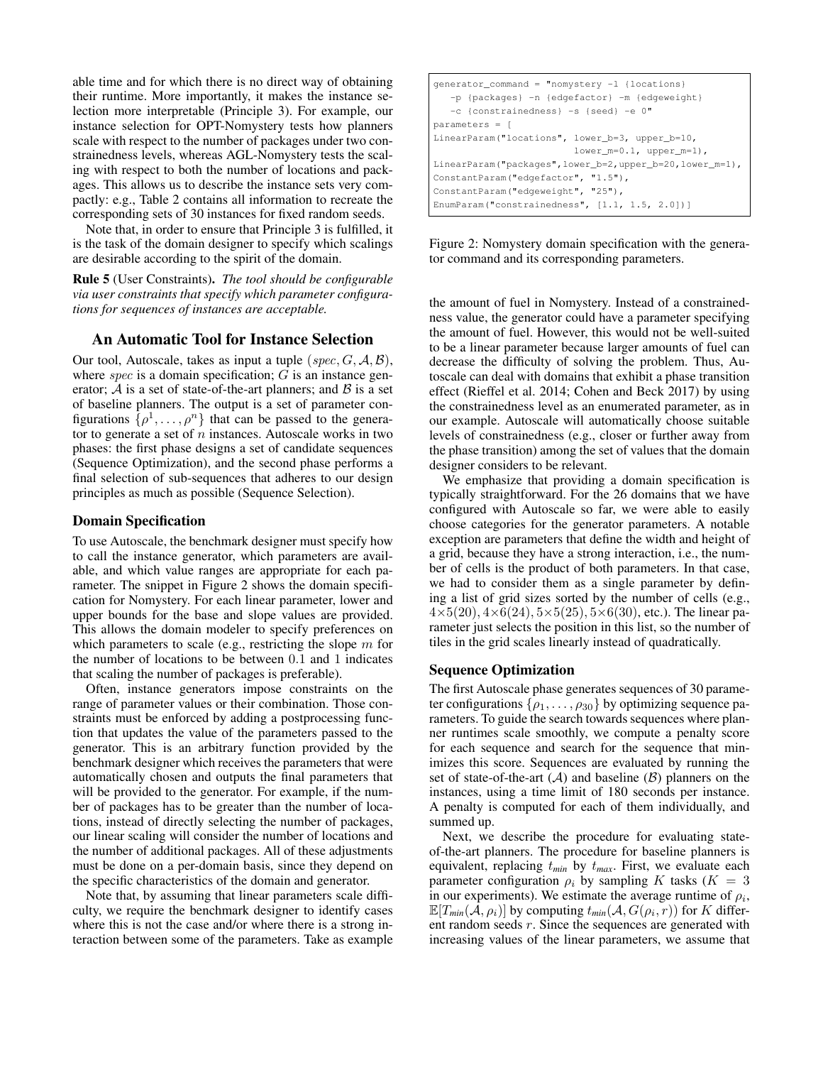able time and for which there is no direct way of obtaining their runtime. More importantly, it makes the instance selection more interpretable (Principle 3). For example, our instance selection for OPT-Nomystery tests how planners scale with respect to the number of packages under two constrainedness levels, whereas AGL-Nomystery tests the scaling with respect to both the number of locations and packages. This allows us to describe the instance sets very compactly: e.g., Table 2 contains all information to recreate the corresponding sets of 30 instances for fixed random seeds.

Note that, in order to ensure that Principle 3 is fulfilled, it is the task of the domain designer to specify which scalings are desirable according to the spirit of the domain.

Rule 5 (User Constraints). *The tool should be configurable via user constraints that specify which parameter configurations for sequences of instances are acceptable.*

# An Automatic Tool for Instance Selection

Our tool, Autoscale, takes as input a tuple  $(spec, G, \mathcal{A}, \mathcal{B})$ , where  $spec$  is a domain specification;  $G$  is an instance generator;  $A$  is a set of state-of-the-art planners; and  $B$  is a set of baseline planners. The output is a set of parameter configurations  $\{\rho^1, \ldots, \rho^n\}$  that can be passed to the generator to generate a set of  $n$  instances. Autoscale works in two phases: the first phase designs a set of candidate sequences (Sequence Optimization), and the second phase performs a final selection of sub-sequences that adheres to our design principles as much as possible (Sequence Selection).

## Domain Specification

To use Autoscale, the benchmark designer must specify how to call the instance generator, which parameters are available, and which value ranges are appropriate for each parameter. The snippet in Figure 2 shows the domain specification for Nomystery. For each linear parameter, lower and upper bounds for the base and slope values are provided. This allows the domain modeler to specify preferences on which parameters to scale (e.g., restricting the slope  $m$  for the number of locations to be between 0.1 and 1 indicates that scaling the number of packages is preferable).

Often, instance generators impose constraints on the range of parameter values or their combination. Those constraints must be enforced by adding a postprocessing function that updates the value of the parameters passed to the generator. This is an arbitrary function provided by the benchmark designer which receives the parameters that were automatically chosen and outputs the final parameters that will be provided to the generator. For example, if the number of packages has to be greater than the number of locations, instead of directly selecting the number of packages, our linear scaling will consider the number of locations and the number of additional packages. All of these adjustments must be done on a per-domain basis, since they depend on the specific characteristics of the domain and generator.

Note that, by assuming that linear parameters scale difficulty, we require the benchmark designer to identify cases where this is not the case and/or where there is a strong interaction between some of the parameters. Take as example

| $q$ enerator_command = "nomystery $-1$ {locations}           |  |  |  |  |  |  |  |  |  |
|--------------------------------------------------------------|--|--|--|--|--|--|--|--|--|
| -p {packages} -n {edgefactor} -m {edgeweight}                |  |  |  |  |  |  |  |  |  |
| -c {constrainedness} -s {seed} -e 0"                         |  |  |  |  |  |  |  |  |  |
| $parameters =$                                               |  |  |  |  |  |  |  |  |  |
| LinearParam("locations", lower_b=3, upper_b=10,              |  |  |  |  |  |  |  |  |  |
| $lower_m=0.1$ , $upper_m=1$ ),                               |  |  |  |  |  |  |  |  |  |
| $LinearParam("packages", lower_b=2, upper_b=20, lower_m=1),$ |  |  |  |  |  |  |  |  |  |
| ConstantParam("edgefactor", "1.5"),                          |  |  |  |  |  |  |  |  |  |
| ConstantParam("edgeweight", "25"),                           |  |  |  |  |  |  |  |  |  |
| EnumParam ("constrainedness", $[1.1, 1.5, 2.0]$ )]           |  |  |  |  |  |  |  |  |  |
|                                                              |  |  |  |  |  |  |  |  |  |

Figure 2: Nomystery domain specification with the generator command and its corresponding parameters.

the amount of fuel in Nomystery. Instead of a constrainedness value, the generator could have a parameter specifying the amount of fuel. However, this would not be well-suited to be a linear parameter because larger amounts of fuel can decrease the difficulty of solving the problem. Thus, Autoscale can deal with domains that exhibit a phase transition effect (Rieffel et al. 2014; Cohen and Beck 2017) by using the constrainedness level as an enumerated parameter, as in our example. Autoscale will automatically choose suitable levels of constrainedness (e.g., closer or further away from the phase transition) among the set of values that the domain designer considers to be relevant.

We emphasize that providing a domain specification is typically straightforward. For the 26 domains that we have configured with Autoscale so far, we were able to easily choose categories for the generator parameters. A notable exception are parameters that define the width and height of a grid, because they have a strong interaction, i.e., the number of cells is the product of both parameters. In that case, we had to consider them as a single parameter by defining a list of grid sizes sorted by the number of cells (e.g.,  $4\times5(20), 4\times6(24), 5\times5(25), 5\times6(30)$ , etc.). The linear parameter just selects the position in this list, so the number of tiles in the grid scales linearly instead of quadratically.

#### Sequence Optimization

The first Autoscale phase generates sequences of 30 parameter configurations  $\{\rho_1, \ldots, \rho_{30}\}$  by optimizing sequence parameters. To guide the search towards sequences where planner runtimes scale smoothly, we compute a penalty score for each sequence and search for the sequence that minimizes this score. Sequences are evaluated by running the set of state-of-the-art  $(A)$  and baseline  $(B)$  planners on the instances, using a time limit of 180 seconds per instance. A penalty is computed for each of them individually, and summed up.

Next, we describe the procedure for evaluating stateof-the-art planners. The procedure for baseline planners is equivalent, replacing t*min* by t*max*. First, we evaluate each parameter configuration  $\rho_i$  by sampling K tasks ( $K = 3$ in our experiments). We estimate the average runtime of  $\rho_i$ ,  $\mathbb{E}[T_{min}(\hat{\mathcal{A}}, \rho_i)]$  by computing  $t_{min}(\mathcal{A}, G(\rho_i, r))$  for K different random seeds  $r$ . Since the sequences are generated with increasing values of the linear parameters, we assume that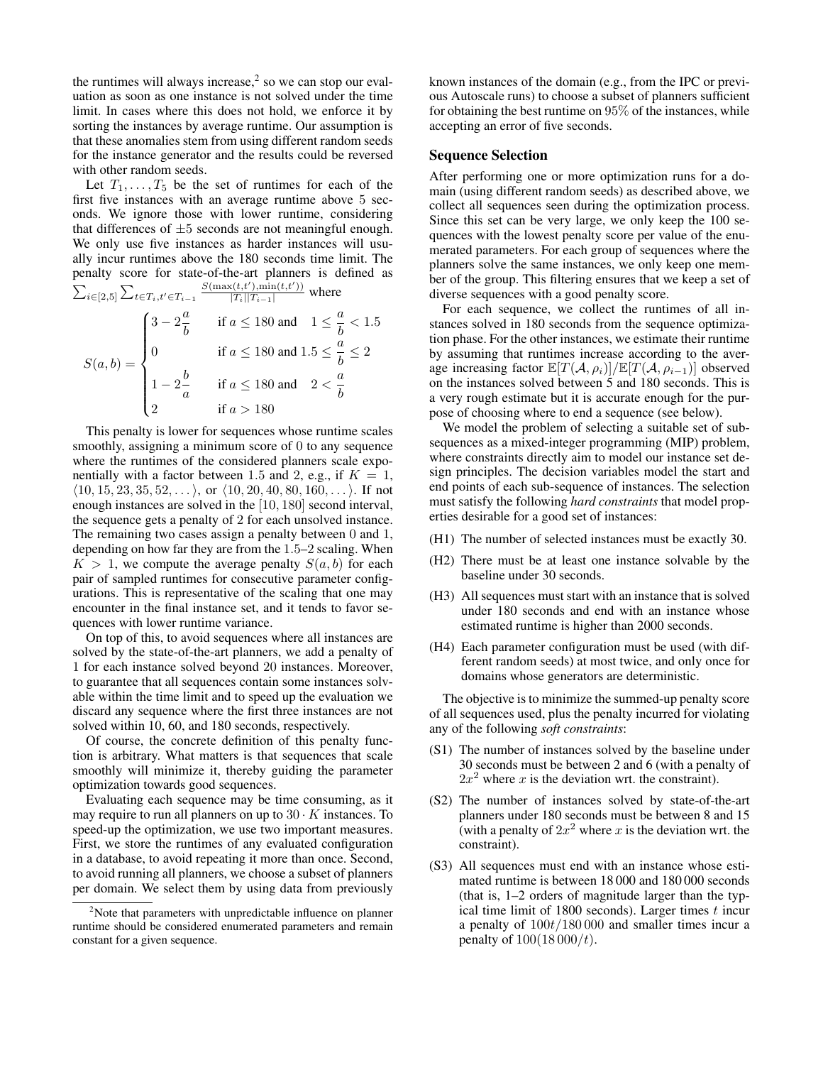the runtimes will always increase, $<sup>2</sup>$  so we can stop our eval-</sup> uation as soon as one instance is not solved under the time limit. In cases where this does not hold, we enforce it by sorting the instances by average runtime. Our assumption is that these anomalies stem from using different random seeds for the instance generator and the results could be reversed with other random seeds.

Let  $T_1, \ldots, T_5$  be the set of runtimes for each of the first five instances with an average runtime above 5 seconds. We ignore those with lower runtime, considering that differences of  $\pm 5$  seconds are not meaningful enough. We only use five instances as harder instances will usually incur runtimes above the 180 seconds time limit. The penalty score for state-of-the-art planners is defined as  $\sum_{i \in [2,5]} \sum_{t \in T_i, t' \in T_{i-1}}$  $\frac{S(\max(t,t'),\min(t,t'))}{|T_i||T_{i-1}|}$  where

$$
S(a,b) = \begin{cases} 3 - 2\frac{a}{b} & \text{if } a \le 180 \text{ and } 1 \le \frac{a}{b} < 1.5 \\ 0 & \text{if } a \le 180 \text{ and } 1.5 \le \frac{a}{b} \le 2 \\ 1 - 2\frac{b}{a} & \text{if } a \le 180 \text{ and } 2 < \frac{a}{b} \\ 2 & \text{if } a > 180 \end{cases}
$$

This penalty is lower for sequences whose runtime scales smoothly, assigning a minimum score of 0 to any sequence where the runtimes of the considered planners scale exponentially with a factor between 1.5 and 2, e.g., if  $K = 1$ ,  $\langle 10, 15, 23, 35, 52, \ldots \rangle$ , or  $\langle 10, 20, 40, 80, 160, \ldots \rangle$ . If not enough instances are solved in the [10, 180] second interval, the sequence gets a penalty of 2 for each unsolved instance. The remaining two cases assign a penalty between 0 and 1, depending on how far they are from the 1.5–2 scaling. When  $K > 1$ , we compute the average penalty  $S(a, b)$  for each pair of sampled runtimes for consecutive parameter configurations. This is representative of the scaling that one may encounter in the final instance set, and it tends to favor sequences with lower runtime variance.

On top of this, to avoid sequences where all instances are solved by the state-of-the-art planners, we add a penalty of 1 for each instance solved beyond 20 instances. Moreover, to guarantee that all sequences contain some instances solvable within the time limit and to speed up the evaluation we discard any sequence where the first three instances are not solved within 10, 60, and 180 seconds, respectively.

Of course, the concrete definition of this penalty function is arbitrary. What matters is that sequences that scale smoothly will minimize it, thereby guiding the parameter optimization towards good sequences.

Evaluating each sequence may be time consuming, as it may require to run all planners on up to  $30 \cdot K$  instances. To speed-up the optimization, we use two important measures. First, we store the runtimes of any evaluated configuration in a database, to avoid repeating it more than once. Second, to avoid running all planners, we choose a subset of planners per domain. We select them by using data from previously

known instances of the domain (e.g., from the IPC or previous Autoscale runs) to choose a subset of planners sufficient for obtaining the best runtime on 95% of the instances, while accepting an error of five seconds.

### Sequence Selection

After performing one or more optimization runs for a domain (using different random seeds) as described above, we collect all sequences seen during the optimization process. Since this set can be very large, we only keep the 100 sequences with the lowest penalty score per value of the enumerated parameters. For each group of sequences where the planners solve the same instances, we only keep one member of the group. This filtering ensures that we keep a set of diverse sequences with a good penalty score.

For each sequence, we collect the runtimes of all instances solved in 180 seconds from the sequence optimization phase. For the other instances, we estimate their runtime by assuming that runtimes increase according to the average increasing factor  $\mathbb{E}[T(\mathcal{A}, \rho_i)|/\mathbb{E}[T(\mathcal{A}, \rho_{i-1})]$  observed on the instances solved between 5 and 180 seconds. This is a very rough estimate but it is accurate enough for the purpose of choosing where to end a sequence (see below).

We model the problem of selecting a suitable set of subsequences as a mixed-integer programming (MIP) problem, where constraints directly aim to model our instance set design principles. The decision variables model the start and end points of each sub-sequence of instances. The selection must satisfy the following *hard constraints* that model properties desirable for a good set of instances:

- (H1) The number of selected instances must be exactly 30.
- (H2) There must be at least one instance solvable by the baseline under 30 seconds.
- (H3) All sequences must start with an instance that is solved under 180 seconds and end with an instance whose estimated runtime is higher than 2000 seconds.
- (H4) Each parameter configuration must be used (with different random seeds) at most twice, and only once for domains whose generators are deterministic.

The objective is to minimize the summed-up penalty score of all sequences used, plus the penalty incurred for violating any of the following *soft constraints*:

- (S1) The number of instances solved by the baseline under 30 seconds must be between 2 and 6 (with a penalty of  $2x^2$  where x is the deviation wrt. the constraint).
- (S2) The number of instances solved by state-of-the-art planners under 180 seconds must be between 8 and 15 (with a penalty of  $2x^2$  where x is the deviation wrt. the constraint).
- (S3) All sequences must end with an instance whose estimated runtime is between 18 000 and 180 000 seconds (that is, 1–2 orders of magnitude larger than the typical time limit of 1800 seconds). Larger times  $t$  incur a penalty of 100t/180 000 and smaller times incur a penalty of  $100(18000/t)$ .

<sup>&</sup>lt;sup>2</sup>Note that parameters with unpredictable influence on planner runtime should be considered enumerated parameters and remain constant for a given sequence.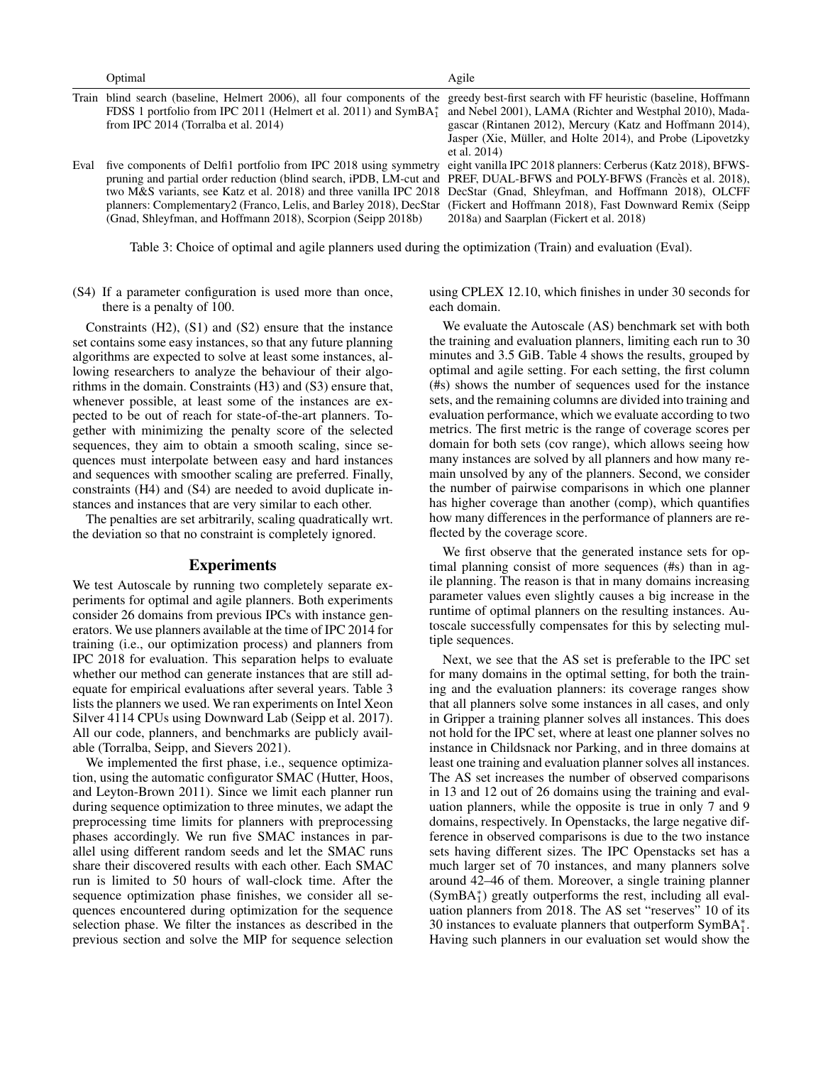Optimal Agile

|      | Train blind search (baseline, Helmert 2006), all four components of the greedy best-first search with FF heuristic (baseline, Hoffmann |                                                             |
|------|----------------------------------------------------------------------------------------------------------------------------------------|-------------------------------------------------------------|
|      | FDSS 1 portfolio from IPC 2011 (Helmert et al. 2011) and SymBA <sup>*</sup> and Nebel 2001), LAMA (Richter and Westphal 2010), Mada-   |                                                             |
|      | from IPC 2014 (Torralba et al. 2014)                                                                                                   | gascar (Rintanen 2012), Mercury (Katz and Hoffmann 2014),   |
|      |                                                                                                                                        | Jasper (Xie, Müller, and Holte 2014), and Probe (Lipovetzky |
|      |                                                                                                                                        | et al. $2014$ )                                             |
| Eval | five components of Delfi1 portfolio from IPC 2018 using symmetry eight vanilla IPC 2018 planners: Cerberus (Katz 2018), BFWS-          |                                                             |
|      | pruning and partial order reduction (blind search, iPDB, LM-cut and PREF, DUAL-BFWS and POLY-BFWS (Francès et al. 2018),               |                                                             |
|      | two M&S variants, see Katz et al. 2018) and three vanilla IPC 2018 DecStar (Gnad, Shleyfman, and Hoffmann 2018), OLCFF                 |                                                             |
|      | planners: Complementary2 (Franco, Lelis, and Barley 2018), DecStar (Fickert and Hoffmann 2018), Fast Downward Remix (Seipp             |                                                             |

Table 3: Choice of optimal and agile planners used during the optimization (Train) and evaluation (Eval).

(S4) If a parameter configuration is used more than once, there is a penalty of 100.

(Gnad, Shleyfman, and Hoffmann 2018), Scorpion (Seipp 2018b)

Constraints (H2), (S1) and (S2) ensure that the instance set contains some easy instances, so that any future planning algorithms are expected to solve at least some instances, allowing researchers to analyze the behaviour of their algorithms in the domain. Constraints (H3) and (S3) ensure that, whenever possible, at least some of the instances are expected to be out of reach for state-of-the-art planners. Together with minimizing the penalty score of the selected sequences, they aim to obtain a smooth scaling, since sequences must interpolate between easy and hard instances and sequences with smoother scaling are preferred. Finally, constraints (H4) and (S4) are needed to avoid duplicate instances and instances that are very similar to each other.

The penalties are set arbitrarily, scaling quadratically wrt. the deviation so that no constraint is completely ignored.

#### Experiments

We test Autoscale by running two completely separate experiments for optimal and agile planners. Both experiments consider 26 domains from previous IPCs with instance generators. We use planners available at the time of IPC 2014 for training (i.e., our optimization process) and planners from IPC 2018 for evaluation. This separation helps to evaluate whether our method can generate instances that are still adequate for empirical evaluations after several years. Table 3 lists the planners we used. We ran experiments on Intel Xeon Silver 4114 CPUs using Downward Lab (Seipp et al. 2017). All our code, planners, and benchmarks are publicly available (Torralba, Seipp, and Sievers 2021).

We implemented the first phase, i.e., sequence optimization, using the automatic configurator SMAC (Hutter, Hoos, and Leyton-Brown 2011). Since we limit each planner run during sequence optimization to three minutes, we adapt the preprocessing time limits for planners with preprocessing phases accordingly. We run five SMAC instances in parallel using different random seeds and let the SMAC runs share their discovered results with each other. Each SMAC run is limited to 50 hours of wall-clock time. After the sequence optimization phase finishes, we consider all sequences encountered during optimization for the sequence selection phase. We filter the instances as described in the previous section and solve the MIP for sequence selection

using CPLEX 12.10, which finishes in under 30 seconds for each domain.

2018a) and Saarplan (Fickert et al. 2018)

We evaluate the Autoscale (AS) benchmark set with both the training and evaluation planners, limiting each run to 30 minutes and 3.5 GiB. Table 4 shows the results, grouped by optimal and agile setting. For each setting, the first column (#s) shows the number of sequences used for the instance sets, and the remaining columns are divided into training and evaluation performance, which we evaluate according to two metrics. The first metric is the range of coverage scores per domain for both sets (cov range), which allows seeing how many instances are solved by all planners and how many remain unsolved by any of the planners. Second, we consider the number of pairwise comparisons in which one planner has higher coverage than another (comp), which quantifies how many differences in the performance of planners are reflected by the coverage score.

We first observe that the generated instance sets for optimal planning consist of more sequences (#s) than in agile planning. The reason is that in many domains increasing parameter values even slightly causes a big increase in the runtime of optimal planners on the resulting instances. Autoscale successfully compensates for this by selecting multiple sequences.

Next, we see that the AS set is preferable to the IPC set for many domains in the optimal setting, for both the training and the evaluation planners: its coverage ranges show that all planners solve some instances in all cases, and only in Gripper a training planner solves all instances. This does not hold for the IPC set, where at least one planner solves no instance in Childsnack nor Parking, and in three domains at least one training and evaluation planner solves all instances. The AS set increases the number of observed comparisons in 13 and 12 out of 26 domains using the training and evaluation planners, while the opposite is true in only 7 and 9 domains, respectively. In Openstacks, the large negative difference in observed comparisons is due to the two instance sets having different sizes. The IPC Openstacks set has a much larger set of 70 instances, and many planners solve around 42–46 of them. Moreover, a single training planner (SymBA<sup>∗</sup> 1 ) greatly outperforms the rest, including all evaluation planners from 2018. The AS set "reserves" 10 of its 30 instances to evaluate planners that outperform  $SymBA_1^*$ . Having such planners in our evaluation set would show the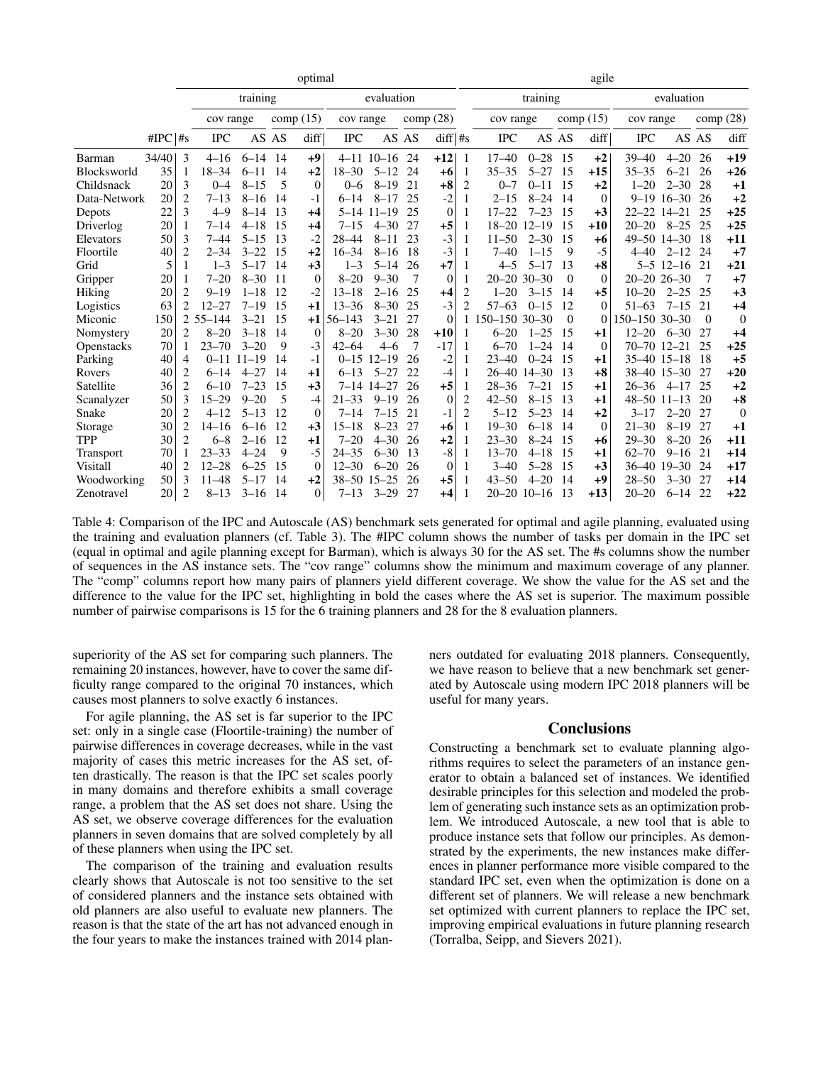|                    |            |                | optimal     |           |          |                |             |                   |          |           |                | agile             |                   |            |              |                     |                   |          |                |
|--------------------|------------|----------------|-------------|-----------|----------|----------------|-------------|-------------------|----------|-----------|----------------|-------------------|-------------------|------------|--------------|---------------------|-------------------|----------|----------------|
|                    |            |                |             | training  |          | evaluation     |             |                   |          | training  |                |                   |                   | evaluation |              |                     |                   |          |                |
|                    |            |                | cov range   |           | comp(15) |                | cov range   |                   | comp(28) |           |                | cov range         |                   | comp(15)   |              | cov range           |                   | comp(28) |                |
|                    | $\#IPC$ #s |                | <b>IPC</b>  |           | AS AS    | diff           | <b>IPC</b>  |                   | AS AS    | $diff$ #s |                | <b>IPC</b>        |                   | AS AS      | diff         | IPC                 | AS AS             |          | diff           |
| Barman             | 34/40      | 3              | $4 - 16$    | $6 - 14$  | 14       | $+9$           |             | $4 - 11$ 10 $-16$ | 24       | $+12$     | -1             | $17 - 40$         | $0 - 28$          | 15         | $+2$         | $39 - 40$           | $4 - 20$          | 26       | $+19$          |
| <b>Blocksworld</b> | 35         | 1              | $18 - 34$   | $6 - 11$  | 14       | $+2$           | $18 - 30$   | $5 - 12$          | 24       | $+6$      | -1             | $35 - 35$         | $5 - 27$          | 15         | $+15$        | $35 - 35$           | $6 - 21$          | 26       | $+26$          |
| Childsnack         | 20         | 3              | $0 - 4$     | $8 - 15$  | 5        | $\theta$       | $0 - 6$     | $8 - 19$          | 21       | $+8$      | $\overline{2}$ | $0 - 7$           | $0 - 11$          | 15         | $+2$         | $1 - 20$            | $2 - 30$          | 28       | $+1$           |
| Data-Network       | 20         | $\overline{2}$ | $7 - 13$    | $8 - 16$  | 14       | $-1$           | $6 - 14$    | $8 - 17$          | 25       | $-2$      | 1              | $2 - 15$          | $8 - 24$          | 14         | $\theta$     |                     | $9 - 19$ 16 $-30$ | 26       | $+2$           |
| Depots             | 22         | 3              | $4 - 9$     | $8 - 14$  | 13       | $+4$           | $5 - 14$    | $11 - 19$         | 25       | $\theta$  | 1              | $17 - 22$         | $7 - 23$          | 15         | $+3$         | $22 - 22$ 14 $-21$  |                   | 25       | $+25$          |
| Driverlog          | 20         | 1              | $7 - 14$    | $4 - 18$  | -15      | $+4$           | $7 - 15$    | $4 - 30$          | 27       | $+5$      | -1             |                   | 18-20 12-19       | 15         | $+10$        | $20 - 20$           | $8 - 25$          | 25       | $+25$          |
| Elevators          | 50         | 3              | $7 - 44$    | $5 - 15$  | 13       | $-2$           | $28 - 44$   | $8 - 11$          | 23       | $-3$      |                | $11 - 50$         | $2 - 30$          | 15         | $+6$         | 49-50 14-30         |                   | -18      | $+11$          |
| Floortile          | 40         | $\overline{c}$ | $2 - 34$    | $3 - 22$  | 15       | $+2$           | $16 - 34$   | $8 - 16$          | 18       | $-3$      | 1              | $7 - 40$          | $1 - 15$          | 9          | $-5$         | $4 - 40$            | $2 - 12$          | 24       | $+7$           |
| Grid               | 5          | 1              | $1 - 3$     | $5 - 17$  | 14       | $+3$           | $1 - 3$     | $5 - 14$          | 26       | $+7$      | -1             | $4 - 5$           | $5 - 17$          | 13         | $+8$         |                     | $5 - 5$ 12-16     | 21       | $+21$          |
| Gripper            | 20         | 1              | $7 - 20$    | $8 - 30$  | -11      | $\theta$       | $8 - 20$    | $9 - 30$          | 7        | $\theta$  | 1              |                   | $20 - 20$ 30 - 30 | $\Omega$   | $\mathbf{0}$ | $20 - 20$ $26 - 30$ |                   | 7        | $+7$           |
| Hiking             | 20         | 2              | $9 - 19$    | $1 - 18$  | 12       | $-2$           | $13 - 18$   | $2 - 16$          | 25       | $+4$      | 2              | $1 - 20$          | $3 - 15$          | 14         | $+5$         | $10 - 20$           | $2 - 25$          | 25       | $+3$           |
| Logistics          | 63         | 2              | $12 - 27$   | $7 - 19$  | 15       | $+1$           | $13 - 36$   | $8 - 30$          | 25       | $-3$      | $\overline{c}$ | $57 - 63$         | $0 - 15$          | 12         | $\Omega$     | $51 - 63$           | $7 - 15$          | 21       | $+4$           |
| Miconic            | 150        |                | $255 - 144$ | $3 - 21$  | 15       | $+1$           | $56 - 143$  | $3 - 21$          | 27       | $\Omega$  |                | $150 - 150$ 30-30 |                   | $\Omega$   | $\Omega$     | 150-150 30-30       |                   | $\theta$ | $\theta$       |
| Nomystery          | 20         | 2              | $8 - 20$    | $3 - 18$  | 14       | $\mathbf{0}$   | $8 - 20$    | $3 - 30$          | 28       | $+10$     | -1             | $6 - 20$          | $1 - 25$          | 15         | $+1$         | $12 - 20$           | $6 - 30$          | 27       | $+4$           |
| Openstacks         | 70         |                | $23 - 70$   | $3 - 20$  | 9        | $-3$           | $42 - 64$   | $4 - 6$           |          | $-17$     |                | $6 - 70$          | $1 - 24$          | 14         | $\theta$     | 70-70 12-21         |                   | 25       | $+25$          |
| Parking            | 40         | 4              | $0 - 11$    | $11 - 19$ | 14       | $-1$           |             | $0 - 15$ 12-19    | 26       | $-2$      |                | 23–40             | $0 - 24$          | 15         | $+1$         | 35-40 15-18         |                   | -18      | $+5$           |
| Rovers             | 40         | 2              | $6 - 14$    | $4 - 27$  | 14       | $+1$           | $6 - 13$    | $5 - 27$          | 22       | $-4$      | 1              |                   | 26-40 14-30       | -13        | $+8$         |                     | 38-40 15-30       | 27       | $+20$          |
| Satellite          | 36         | 2              | $6 - 10$    | $7 - 23$  | 15       | $+3$           |             | 7-14 14-27        | 26       | $+5$      | 1              | $28 - 36$         | $7 - 21$          | 15         | $+1$         | $26 - 36$           | $4 - 17$          | 25       | $+2$           |
| Scanalyzer         | 50         | 3              | $15 - 29$   | $9 - 20$  | 5        | $-4$           | $21 - 33$   | $9 - 19$          | 26       | $\theta$  | $\overline{2}$ | $42 - 50$         | $8 - 15$          | -13        | $+1$         | $48 - 50$ 11 $-13$  |                   | 20       | $+8$           |
| Snake              | 20         | 2              | $4 - 12$    | $5 - 13$  | 12       | $\overline{0}$ | $7 - 14$    | $7 - 15$          | 21       | $-1$      | 2              | $5 - 12$          | $5 - 23$          | 14         | $+2$         | $3 - 17$            | $2 - 20$          | 27       | $\overline{0}$ |
| Storage            | 30         | 2              | $14 - 16$   | $6 - 16$  | 12       | $+3$           | $15 - 18$   | $8 - 23$          | 27       | $+6$      | 1              | $19 - 30$         | $6 - 18$          | 14         | $\theta$     | $21 - 30$           | $8 - 19$          | 27       | $+1$           |
| <b>TPP</b>         | 30         | 2              | $6 - 8$     | $2 - 16$  | 12       | $+1$           | $7 - 20$    | $4 - 30$          | 26       | $+2$      | 1              | $23 - 30$         | $8 - 24$          | 15         | $+6$         | $29 - 30$           | $8 - 20$          | 26       | $+11$          |
| <b>Transport</b>   | 70         | 1              | $23 - 33$   | $4 - 24$  | 9        | $-5$           | $24 - 35$   | $6 - 30$          | 13       | $-8$      | 1              | $13 - 70$         | $4 - 18$          | 15         | $+1$         | $62 - 70$           | $9 - 16$          | 21       | $+14$          |
| Visitall           | 40         | 2              | $12 - 28$   | $6 - 25$  | 15       | $\theta$       | $12 - 30$   | $6 - 20$          | 26       | $\theta$  |                | $3 - 40$          | $5 - 28$          | 15         | $+3$         | 36-40 19-30         |                   | 24       | $+17$          |
| Woodworking        | 50         | 3              | $11 - 48$   | $5 - 17$  | 14       | $+2$           | 38-50 15-25 |                   | 26       | $+5$      |                | $43 - 50$         | $4 - 20$          | 14         | $+9$         | $28 - 50$           | $3 - 30$          | 27       | $+14$          |
| Zenotravel         | 20         | $\overline{c}$ | $8 - 13$    | $3 - 16$  | 14       | $\Omega$       | $7 - 13$    | $3 - 29$          | 27       | $+4$      |                |                   | $20 - 20$ 10 - 16 | 13         | $+13$        | $20 - 20$           | $6 - 14$          | 22       | $+22$          |

Table 4: Comparison of the IPC and Autoscale (AS) benchmark sets generated for optimal and agile planning, evaluated using the training and evaluation planners (cf. Table 3). The #IPC column shows the number of tasks per domain in the IPC set (equal in optimal and agile planning except for Barman), which is always 30 for the AS set. The #s columns show the number of sequences in the AS instance sets. The "cov range" columns show the minimum and maximum coverage of any planner. The "comp" columns report how many pairs of planners yield different coverage. We show the value for the AS set and the difference to the value for the IPC set, highlighting in bold the cases where the AS set is superior. The maximum possible number of pairwise comparisons is 15 for the 6 training planners and 28 for the 8 evaluation planners.

superiority of the AS set for comparing such planners. The remaining 20 instances, however, have to cover the same difficulty range compared to the original 70 instances, which causes most planners to solve exactly 6 instances.

For agile planning, the AS set is far superior to the IPC set: only in a single case (Floortile-training) the number of pairwise differences in coverage decreases, while in the vast majority of cases this metric increases for the AS set, often drastically. The reason is that the IPC set scales poorly in many domains and therefore exhibits a small coverage range, a problem that the AS set does not share. Using the AS set, we observe coverage differences for the evaluation planners in seven domains that are solved completely by all of these planners when using the IPC set.

The comparison of the training and evaluation results clearly shows that Autoscale is not too sensitive to the set of considered planners and the instance sets obtained with old planners are also useful to evaluate new planners. The reason is that the state of the art has not advanced enough in the four years to make the instances trained with 2014 planners outdated for evaluating 2018 planners. Consequently, we have reason to believe that a new benchmark set generated by Autoscale using modern IPC 2018 planners will be useful for many years.

#### **Conclusions**

Constructing a benchmark set to evaluate planning algorithms requires to select the parameters of an instance generator to obtain a balanced set of instances. We identified desirable principles for this selection and modeled the problem of generating such instance sets as an optimization problem. We introduced Autoscale, a new tool that is able to produce instance sets that follow our principles. As demonstrated by the experiments, the new instances make differences in planner performance more visible compared to the standard IPC set, even when the optimization is done on a different set of planners. We will release a new benchmark set optimized with current planners to replace the IPC set, improving empirical evaluations in future planning research (Torralba, Seipp, and Sievers 2021).